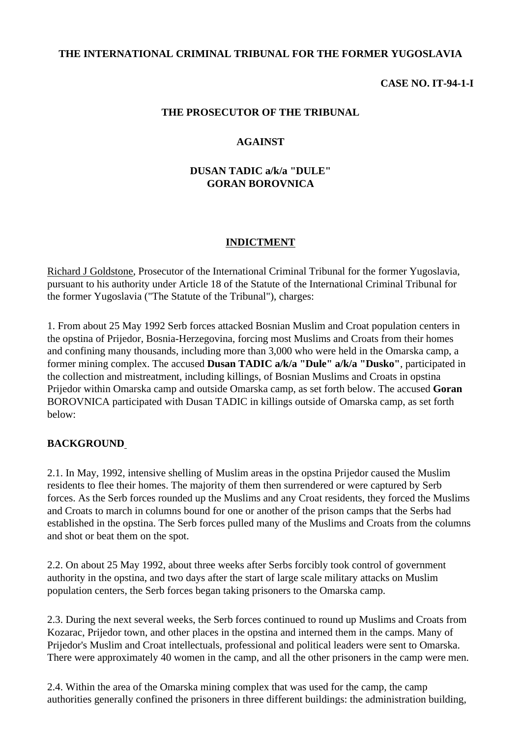## **THE INTERNATIONAL CRIMINAL TRIBUNAL FOR THE FORMER YUGOSLAVIA**

#### **CASE NO. IT-94-1-I**

#### **THE PROSECUTOR OF THE TRIBUNAL**

#### **AGAINST**

## **DUSAN TADIC a/k/a "DULE" GORAN BOROVNICA**

#### **INDICTMENT**

Richard J Goldstone, Prosecutor of the International Criminal Tribunal for the former Yugoslavia, pursuant to his authority under Article 18 of the Statute of the International Criminal Tribunal for the former Yugoslavia ("The Statute of the Tribunal"), charges:

1. From about 25 May 1992 Serb forces attacked Bosnian Muslim and Croat population centers in the opstina of Prijedor, Bosnia-Herzegovina, forcing most Muslims and Croats from their homes and confining many thousands, including more than 3,000 who were held in the Omarska camp, a former mining complex. The accused **Dusan TADIC a/k/a "Dule" a/k/a "Dusko"**, participated in the collection and mistreatment, including killings, of Bosnian Muslims and Croats in opstina Prijedor within Omarska camp and outside Omarska camp, as set forth below. The accused **Goran**  BOROVNICA participated with Dusan TADIC in killings outside of Omarska camp, as set forth below:

#### BACKGROUND

2.1. In May, 1992, intensive shelling of Muslim areas in the opstina Prijedor caused the Muslim residents to flee their homes. The majority of them then surrendered or were captured by Serb forces. As the Serb forces rounded up the Muslims and any Croat residents, they forced the Muslims and Croats to march in columns bound for one or another of the prison camps that the Serbs had established in the opstina. The Serb forces pulled many of the Muslims and Croats from the columns and shot or beat them on the spot.

2.2. On about 25 May 1992, about three weeks after Serbs forcibly took control of government authority in the opstina, and two days after the start of large scale military attacks on Muslim population centers, the Serb forces began taking prisoners to the Omarska camp.

2.3. During the next several weeks, the Serb forces continued to round up Muslims and Croats from Kozarac, Prijedor town, and other places in the opstina and interned them in the camps. Many of Prijedor's Muslim and Croat intellectuals, professional and political leaders were sent to Omarska. There were approximately 40 women in the camp, and all the other prisoners in the camp were men.

2.4. Within the area of the Omarska mining complex that was used for the camp, the camp authorities generally confined the prisoners in three different buildings: the administration building,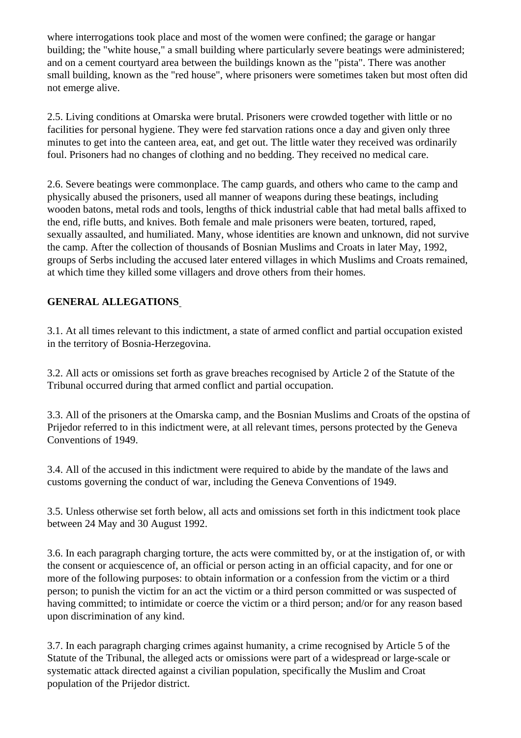where interrogations took place and most of the women were confined; the garage or hangar building; the "white house," a small building where particularly severe beatings were administered; and on a cement courtyard area between the buildings known as the "pista". There was another small building, known as the "red house", where prisoners were sometimes taken but most often did not emerge alive.

2.5. Living conditions at Omarska were brutal. Prisoners were crowded together with little or no facilities for personal hygiene. They were fed starvation rations once a day and given only three minutes to get into the canteen area, eat, and get out. The little water they received was ordinarily foul. Prisoners had no changes of clothing and no bedding. They received no medical care.

2.6. Severe beatings were commonplace. The camp guards, and others who came to the camp and physically abused the prisoners, used all manner of weapons during these beatings, including wooden batons, metal rods and tools, lengths of thick industrial cable that had metal balls affixed to the end, rifle butts, and knives. Both female and male prisoners were beaten, tortured, raped, sexually assaulted, and humiliated. Many, whose identities are known and unknown, did not survive the camp. After the collection of thousands of Bosnian Muslims and Croats in later May, 1992, groups of Serbs including the accused later entered villages in which Muslims and Croats remained, at which time they killed some villagers and drove others from their homes.

# **GENERAL ALLEGATIONS**

3.1. At all times relevant to this indictment, a state of armed conflict and partial occupation existed in the territory of Bosnia-Herzegovina.

3.2. All acts or omissions set forth as grave breaches recognised by Article 2 of the Statute of the Tribunal occurred during that armed conflict and partial occupation.

3.3. All of the prisoners at the Omarska camp, and the Bosnian Muslims and Croats of the opstina of Prijedor referred to in this indictment were, at all relevant times, persons protected by the Geneva Conventions of 1949.

3.4. All of the accused in this indictment were required to abide by the mandate of the laws and customs governing the conduct of war, including the Geneva Conventions of 1949.

3.5. Unless otherwise set forth below, all acts and omissions set forth in this indictment took place between 24 May and 30 August 1992.

3.6. In each paragraph charging torture, the acts were committed by, or at the instigation of, or with the consent or acquiescence of, an official or person acting in an official capacity, and for one or more of the following purposes: to obtain information or a confession from the victim or a third person; to punish the victim for an act the victim or a third person committed or was suspected of having committed; to intimidate or coerce the victim or a third person; and/or for any reason based upon discrimination of any kind.

3.7. In each paragraph charging crimes against humanity, a crime recognised by Article 5 of the Statute of the Tribunal, the alleged acts or omissions were part of a widespread or large-scale or systematic attack directed against a civilian population, specifically the Muslim and Croat population of the Prijedor district.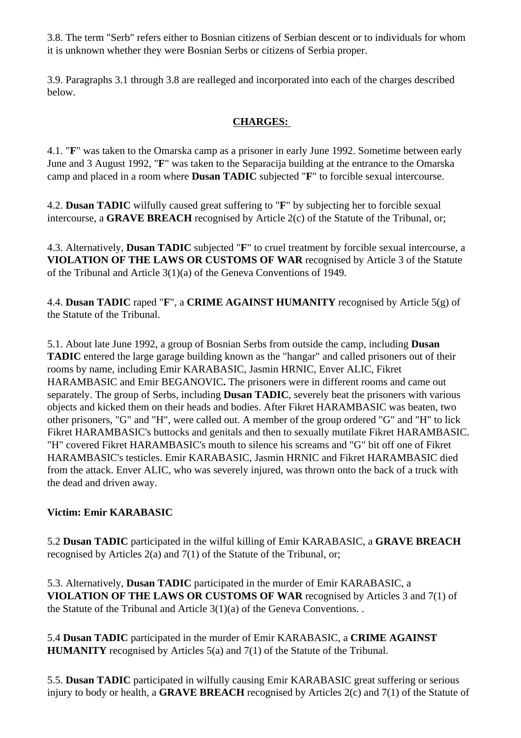3.8. The term "Serb" refers either to Bosnian citizens of Serbian descent or to individuals for whom it is unknown whether they were Bosnian Serbs or citizens of Serbia proper.

3.9. Paragraphs 3.1 through 3.8 are realleged and incorporated into each of the charges described below.

## **CHARGES:**

4.1. "**F**" was taken to the Omarska camp as a prisoner in early June 1992. Sometime between early June and 3 August 1992, "**F**" was taken to the Separacija building at the entrance to the Omarska camp and placed in a room where **Dusan TADIC** subjected "**F**" to forcible sexual intercourse.

4.2. **Dusan TADIC** wilfully caused great suffering to "**F**" by subjecting her to forcible sexual intercourse, a **GRAVE BREACH** recognised by Article 2(c) of the Statute of the Tribunal, or;

4.3. Alternatively, **Dusan TADIC** subjected "**F**" to cruel treatment by forcible sexual intercourse, a **VIOLATION OF THE LAWS OR CUSTOMS OF WAR** recognised by Article 3 of the Statute of the Tribunal and Article 3(1)(a) of the Geneva Conventions of 1949.

4.4. **Dusan TADIC** raped "**F**", a **CRIME AGAINST HUMANITY** recognised by Article 5(g) of the Statute of the Tribunal.

5.1. About late June 1992, a group of Bosnian Serbs from outside the camp, including **Dusan TADIC** entered the large garage building known as the "hangar" and called prisoners out of their rooms by name, including Emir KARABASIC, Jasmin HRNIC, Enver ALIC, Fikret HARAMBASIC and Emir BEGANOVIC**.** The prisoners were in different rooms and came out separately. The group of Serbs, including **Dusan TADIC**, severely beat the prisoners with various objects and kicked them on their heads and bodies. After Fikret HARAMBASIC was beaten, two other prisoners, "G" and "H", were called out. A member of the group ordered "G" and "H" to lick Fikret HARAMBASIC's buttocks and genitals and then to sexually mutilate Fikret HARAMBASIC. "H" covered Fikret HARAMBASIC's mouth to silence his screams and "G" bit off one of Fikret HARAMBASIC's testicles. Emir KARABASIC, Jasmin HRNIC and Fikret HARAMBASIC died from the attack. Enver ALIC, who was severely injured, was thrown onto the back of a truck with the dead and driven away.

## **Victim: Emir KARABASIC**

5.2 **Dusan TADIC** participated in the wilful killing of Emir KARABASIC, a **GRAVE BREACH** recognised by Articles 2(a) and 7(1) of the Statute of the Tribunal, or;

5.3. Alternatively, **Dusan TADIC** participated in the murder of Emir KARABASIC, a **VIOLATION OF THE LAWS OR CUSTOMS OF WAR** recognised by Articles 3 and 7(1) of the Statute of the Tribunal and Article 3(1)(a) of the Geneva Conventions. .

5.4 **Dusan TADIC** participated in the murder of Emir KARABASIC, a **CRIME AGAINST HUMANITY** recognised by Articles 5(a) and 7(1) of the Statute of the Tribunal.

5.5. **Dusan TADIC** participated in wilfully causing Emir KARABASIC great suffering or serious injury to body or health, a **GRAVE BREACH** recognised by Articles 2(c) and 7(1) of the Statute of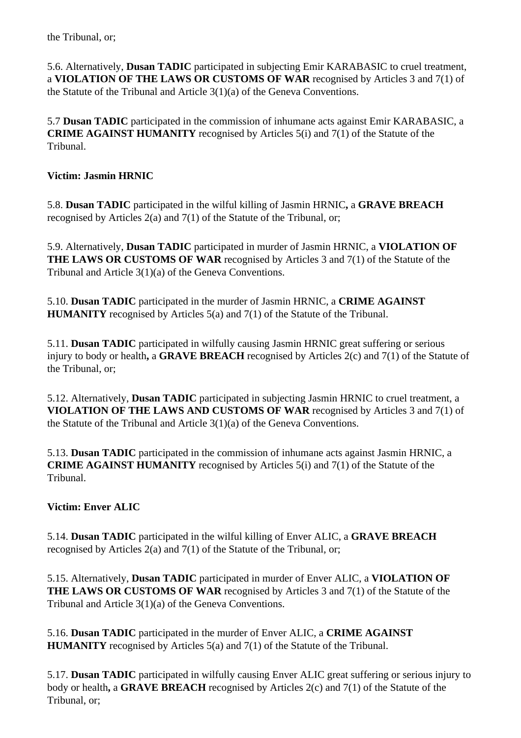5.6. Alternatively, **Dusan TADIC** participated in subjecting Emir KARABASIC to cruel treatment, a **VIOLATION OF THE LAWS OR CUSTOMS OF WAR** recognised by Articles 3 and 7(1) of the Statute of the Tribunal and Article 3(1)(a) of the Geneva Conventions.

5.7 **Dusan TADIC** participated in the commission of inhumane acts against Emir KARABASIC, a **CRIME AGAINST HUMANITY** recognised by Articles 5(i) and 7(1) of the Statute of the Tribunal.

## **Victim: Jasmin HRNIC**

5.8. **Dusan TADIC** participated in the wilful killing of Jasmin HRNIC**,** a **GRAVE BREACH** recognised by Articles 2(a) and 7(1) of the Statute of the Tribunal, or;

5.9. Alternatively, **Dusan TADIC** participated in murder of Jasmin HRNIC, a **VIOLATION OF THE LAWS OR CUSTOMS OF WAR** recognised by Articles 3 and 7(1) of the Statute of the Tribunal and Article 3(1)(a) of the Geneva Conventions.

5.10. **Dusan TADIC** participated in the murder of Jasmin HRNIC, a **CRIME AGAINST HUMANITY** recognised by Articles 5(a) and 7(1) of the Statute of the Tribunal.

5.11. **Dusan TADIC** participated in wilfully causing Jasmin HRNIC great suffering or serious injury to body or health**,** a **GRAVE BREACH** recognised by Articles 2(c) and 7(1) of the Statute of the Tribunal, or;

5.12. Alternatively, **Dusan TADIC** participated in subjecting Jasmin HRNIC to cruel treatment, a **VIOLATION OF THE LAWS AND CUSTOMS OF WAR** recognised by Articles 3 and 7(1) of the Statute of the Tribunal and Article 3(1)(a) of the Geneva Conventions.

5.13. **Dusan TADIC** participated in the commission of inhumane acts against Jasmin HRNIC, a **CRIME AGAINST HUMANITY** recognised by Articles 5(i) and 7(1) of the Statute of the Tribunal.

# **Victim: Enver ALIC**

5.14. **Dusan TADIC** participated in the wilful killing of Enver ALIC, a **GRAVE BREACH** recognised by Articles 2(a) and 7(1) of the Statute of the Tribunal, or;

5.15. Alternatively, **Dusan TADIC** participated in murder of Enver ALIC, a **VIOLATION OF THE LAWS OR CUSTOMS OF WAR** recognised by Articles 3 and 7(1) of the Statute of the Tribunal and Article 3(1)(a) of the Geneva Conventions.

5.16. **Dusan TADIC** participated in the murder of Enver ALIC, a **CRIME AGAINST HUMANITY** recognised by Articles 5(a) and 7(1) of the Statute of the Tribunal.

5.17. **Dusan TADIC** participated in wilfully causing Enver ALIC great suffering or serious injury to body or health**,** a **GRAVE BREACH** recognised by Articles 2(c) and 7(1) of the Statute of the Tribunal, or;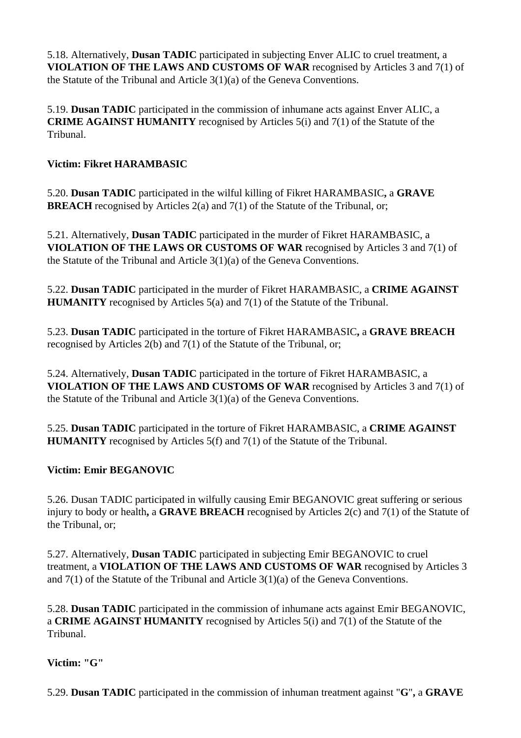5.18. Alternatively, **Dusan TADIC** participated in subjecting Enver ALIC to cruel treatment, a **VIOLATION OF THE LAWS AND CUSTOMS OF WAR** recognised by Articles 3 and 7(1) of the Statute of the Tribunal and Article 3(1)(a) of the Geneva Conventions.

5.19. **Dusan TADIC** participated in the commission of inhumane acts against Enver ALIC, a **CRIME AGAINST HUMANITY** recognised by Articles 5(i) and 7(1) of the Statute of the Tribunal.

## **Victim: Fikret HARAMBASIC**

5.20. **Dusan TADIC** participated in the wilful killing of Fikret HARAMBASIC**,** a **GRAVE BREACH** recognised by Articles 2(a) and 7(1) of the Statute of the Tribunal, or;

5.21. Alternatively, **Dusan TADIC** participated in the murder of Fikret HARAMBASIC, a **VIOLATION OF THE LAWS OR CUSTOMS OF WAR** recognised by Articles 3 and 7(1) of the Statute of the Tribunal and Article 3(1)(a) of the Geneva Conventions.

5.22. **Dusan TADIC** participated in the murder of Fikret HARAMBASIC, a **CRIME AGAINST HUMANITY** recognised by Articles 5(a) and 7(1) of the Statute of the Tribunal.

5.23. **Dusan TADIC** participated in the torture of Fikret HARAMBASIC**,** a **GRAVE BREACH** recognised by Articles 2(b) and 7(1) of the Statute of the Tribunal, or;

5.24. Alternatively, **Dusan TADIC** participated in the torture of Fikret HARAMBASIC, a **VIOLATION OF THE LAWS AND CUSTOMS OF WAR** recognised by Articles 3 and 7(1) of the Statute of the Tribunal and Article 3(1)(a) of the Geneva Conventions.

5.25. **Dusan TADIC** participated in the torture of Fikret HARAMBASIC, a **CRIME AGAINST HUMANITY** recognised by Articles 5(f) and 7(1) of the Statute of the Tribunal.

## **Victim: Emir BEGANOVIC**

5.26. Dusan TADIC participated in wilfully causing Emir BEGANOVIC great suffering or serious injury to body or health**,** a **GRAVE BREACH** recognised by Articles 2(c) and 7(1) of the Statute of the Tribunal, or;

5.27. Alternatively, **Dusan TADIC** participated in subjecting Emir BEGANOVIC to cruel treatment, a **VIOLATION OF THE LAWS AND CUSTOMS OF WAR** recognised by Articles 3 and 7(1) of the Statute of the Tribunal and Article 3(1)(a) of the Geneva Conventions.

5.28. **Dusan TADIC** participated in the commission of inhumane acts against Emir BEGANOVIC, a **CRIME AGAINST HUMANITY** recognised by Articles 5(i) and 7(1) of the Statute of the Tribunal.

## **Victim: "G"**

5.29. **Dusan TADIC** participated in the commission of inhuman treatment against "**G**"**,** a **GRAVE**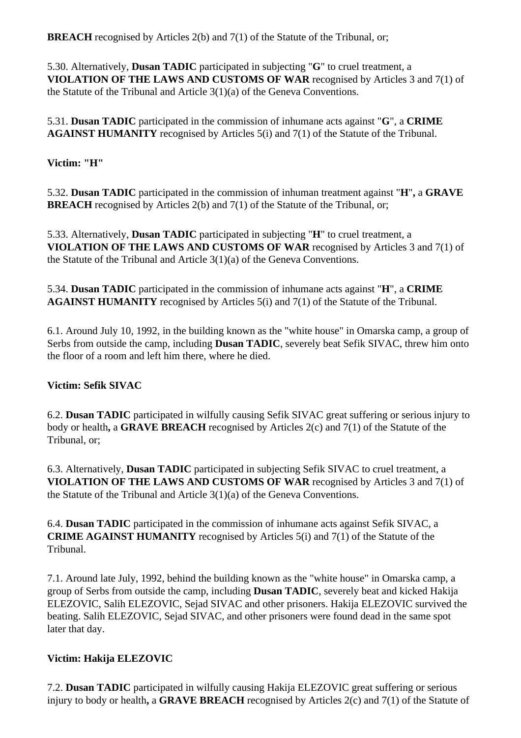**BREACH** recognised by Articles 2(b) and 7(1) of the Statute of the Tribunal, or;

5.30. Alternatively, **Dusan TADIC** participated in subjecting "**G**" to cruel treatment, a **VIOLATION OF THE LAWS AND CUSTOMS OF WAR** recognised by Articles 3 and 7(1) of the Statute of the Tribunal and Article 3(1)(a) of the Geneva Conventions.

5.31. **Dusan TADIC** participated in the commission of inhumane acts against "**G**", a **CRIME AGAINST HUMANITY** recognised by Articles 5(i) and 7(1) of the Statute of the Tribunal.

## **Victim: "H"**

5.32. **Dusan TADIC** participated in the commission of inhuman treatment against "**H**"**,** a **GRAVE BREACH** recognised by Articles 2(b) and 7(1) of the Statute of the Tribunal, or;

5.33. Alternatively, **Dusan TADIC** participated in subjecting "**H**" to cruel treatment, a **VIOLATION OF THE LAWS AND CUSTOMS OF WAR** recognised by Articles 3 and 7(1) of the Statute of the Tribunal and Article 3(1)(a) of the Geneva Conventions.

5.34. **Dusan TADIC** participated in the commission of inhumane acts against "**H**", a **CRIME AGAINST HUMANITY** recognised by Articles 5(i) and 7(1) of the Statute of the Tribunal.

6.1. Around July 10, 1992, in the building known as the "white house" in Omarska camp, a group of Serbs from outside the camp, including **Dusan TADIC**, severely beat Sefik SIVAC, threw him onto the floor of a room and left him there, where he died.

## **Victim: Sefik SIVAC**

6.2. **Dusan TADIC** participated in wilfully causing Sefik SIVAC great suffering or serious injury to body or health**,** a **GRAVE BREACH** recognised by Articles 2(c) and 7(1) of the Statute of the Tribunal, or;

6.3. Alternatively, **Dusan TADIC** participated in subjecting Sefik SIVAC to cruel treatment, a **VIOLATION OF THE LAWS AND CUSTOMS OF WAR** recognised by Articles 3 and 7(1) of the Statute of the Tribunal and Article 3(1)(a) of the Geneva Conventions.

6.4. **Dusan TADIC** participated in the commission of inhumane acts against Sefik SIVAC, a **CRIME AGAINST HUMANITY** recognised by Articles 5(i) and 7(1) of the Statute of the Tribunal.

7.1. Around late July, 1992, behind the building known as the "white house" in Omarska camp, a group of Serbs from outside the camp, including **Dusan TADIC**, severely beat and kicked Hakija ELEZOVIC, Salih ELEZOVIC, Sejad SIVAC and other prisoners. Hakija ELEZOVIC survived the beating. Salih ELEZOVIC, Sejad SIVAC, and other prisoners were found dead in the same spot later that day.

# **Victim: Hakija ELEZOVIC**

7.2. **Dusan TADIC** participated in wilfully causing Hakija ELEZOVIC great suffering or serious injury to body or health**,** a **GRAVE BREACH** recognised by Articles 2(c) and 7(1) of the Statute of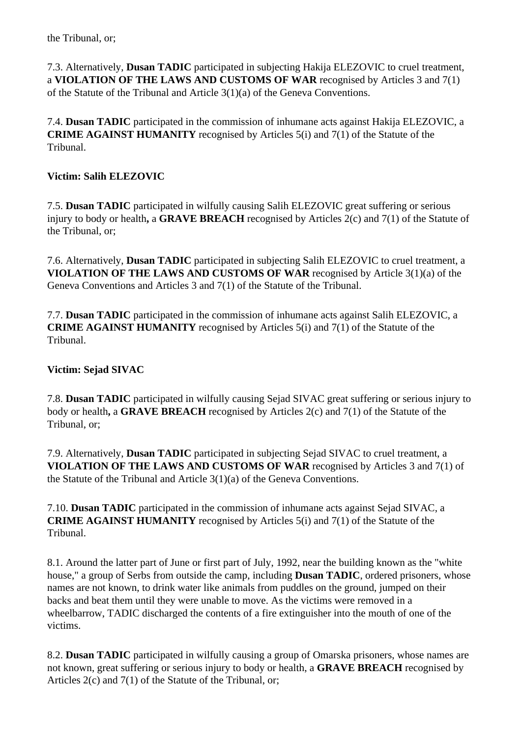7.3. Alternatively, **Dusan TADIC** participated in subjecting Hakija ELEZOVIC to cruel treatment, a **VIOLATION OF THE LAWS AND CUSTOMS OF WAR** recognised by Articles 3 and 7(1) of the Statute of the Tribunal and Article 3(1)(a) of the Geneva Conventions.

7.4. **Dusan TADIC** participated in the commission of inhumane acts against Hakija ELEZOVIC, a **CRIME AGAINST HUMANITY** recognised by Articles 5(i) and 7(1) of the Statute of the Tribunal.

## **Victim: Salih ELEZOVIC**

7.5. **Dusan TADIC** participated in wilfully causing Salih ELEZOVIC great suffering or serious injury to body or health**,** a **GRAVE BREACH** recognised by Articles 2(c) and 7(1) of the Statute of the Tribunal, or;

7.6. Alternatively, **Dusan TADIC** participated in subjecting Salih ELEZOVIC to cruel treatment, a **VIOLATION OF THE LAWS AND CUSTOMS OF WAR** recognised by Article 3(1)(a) of the Geneva Conventions and Articles 3 and 7(1) of the Statute of the Tribunal.

7.7. **Dusan TADIC** participated in the commission of inhumane acts against Salih ELEZOVIC, a **CRIME AGAINST HUMANITY** recognised by Articles 5(i) and 7(1) of the Statute of the Tribunal.

# **Victim: Sejad SIVAC**

7.8. **Dusan TADIC** participated in wilfully causing Sejad SIVAC great suffering or serious injury to body or health**,** a **GRAVE BREACH** recognised by Articles 2(c) and 7(1) of the Statute of the Tribunal, or;

7.9. Alternatively, **Dusan TADIC** participated in subjecting Sejad SIVAC to cruel treatment, a **VIOLATION OF THE LAWS AND CUSTOMS OF WAR** recognised by Articles 3 and 7(1) of the Statute of the Tribunal and Article 3(1)(a) of the Geneva Conventions.

7.10. **Dusan TADIC** participated in the commission of inhumane acts against Sejad SIVAC, a **CRIME AGAINST HUMANITY** recognised by Articles 5(i) and 7(1) of the Statute of the Tribunal.

8.1. Around the latter part of June or first part of July, 1992, near the building known as the "white house," a group of Serbs from outside the camp, including **Dusan TADIC**, ordered prisoners, whose names are not known, to drink water like animals from puddles on the ground, jumped on their backs and beat them until they were unable to move. As the victims were removed in a wheelbarrow, TADIC discharged the contents of a fire extinguisher into the mouth of one of the victims.

8.2. **Dusan TADIC** participated in wilfully causing a group of Omarska prisoners, whose names are not known, great suffering or serious injury to body or health, a **GRAVE BREACH** recognised by Articles 2(c) and 7(1) of the Statute of the Tribunal, or;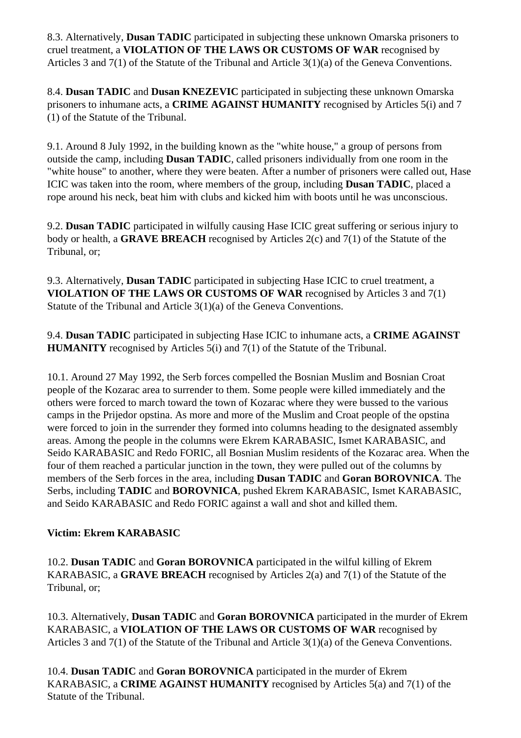8.3. Alternatively, **Dusan TADIC** participated in subjecting these unknown Omarska prisoners to cruel treatment, a **VIOLATION OF THE LAWS OR CUSTOMS OF WAR** recognised by Articles 3 and 7(1) of the Statute of the Tribunal and Article 3(1)(a) of the Geneva Conventions.

8.4. **Dusan TADIC** and **Dusan KNEZEVIC** participated in subjecting these unknown Omarska prisoners to inhumane acts, a **CRIME AGAINST HUMANITY** recognised by Articles 5(i) and 7 (1) of the Statute of the Tribunal.

9.1. Around 8 July 1992, in the building known as the "white house," a group of persons from outside the camp, including **Dusan TADIC**, called prisoners individually from one room in the "white house" to another, where they were beaten. After a number of prisoners were called out, Hase ICIC was taken into the room, where members of the group, including **Dusan TADIC**, placed a rope around his neck, beat him with clubs and kicked him with boots until he was unconscious.

9.2. **Dusan TADIC** participated in wilfully causing Hase ICIC great suffering or serious injury to body or health, a **GRAVE BREACH** recognised by Articles 2(c) and 7(1) of the Statute of the Tribunal, or;

9.3. Alternatively, **Dusan TADIC** participated in subjecting Hase ICIC to cruel treatment, a **VIOLATION OF THE LAWS OR CUSTOMS OF WAR** recognised by Articles 3 and 7(1) Statute of the Tribunal and Article 3(1)(a) of the Geneva Conventions.

9.4. **Dusan TADIC** participated in subjecting Hase ICIC to inhumane acts, a **CRIME AGAINST HUMANITY** recognised by Articles 5(i) and 7(1) of the Statute of the Tribunal.

10.1. Around 27 May 1992, the Serb forces compelled the Bosnian Muslim and Bosnian Croat people of the Kozarac area to surrender to them. Some people were killed immediately and the others were forced to march toward the town of Kozarac where they were bussed to the various camps in the Prijedor opstina. As more and more of the Muslim and Croat people of the opstina were forced to join in the surrender they formed into columns heading to the designated assembly areas. Among the people in the columns were Ekrem KARABASIC, Ismet KARABASIC, and Seido KARABASIC and Redo FORIC, all Bosnian Muslim residents of the Kozarac area. When the four of them reached a particular junction in the town, they were pulled out of the columns by members of the Serb forces in the area, including **Dusan TADIC** and **Goran BOROVNICA**. The Serbs, including **TADIC** and **BOROVNICA**, pushed Ekrem KARABASIC, Ismet KARABASIC, and Seido KARABASIC and Redo FORIC against a wall and shot and killed them.

# **Victim: Ekrem KARABASIC**

10.2. **Dusan TADIC** and **Goran BOROVNICA** participated in the wilful killing of Ekrem KARABASIC, a **GRAVE BREACH** recognised by Articles 2(a) and 7(1) of the Statute of the Tribunal, or;

10.3. Alternatively, **Dusan TADIC** and **Goran BOROVNICA** participated in the murder of Ekrem KARABASIC, a **VIOLATION OF THE LAWS OR CUSTOMS OF WAR** recognised by Articles 3 and 7(1) of the Statute of the Tribunal and Article 3(1)(a) of the Geneva Conventions.

10.4. **Dusan TADIC** and **Goran BOROVNICA** participated in the murder of Ekrem KARABASIC, a **CRIME AGAINST HUMANITY** recognised by Articles 5(a) and 7(1) of the Statute of the Tribunal.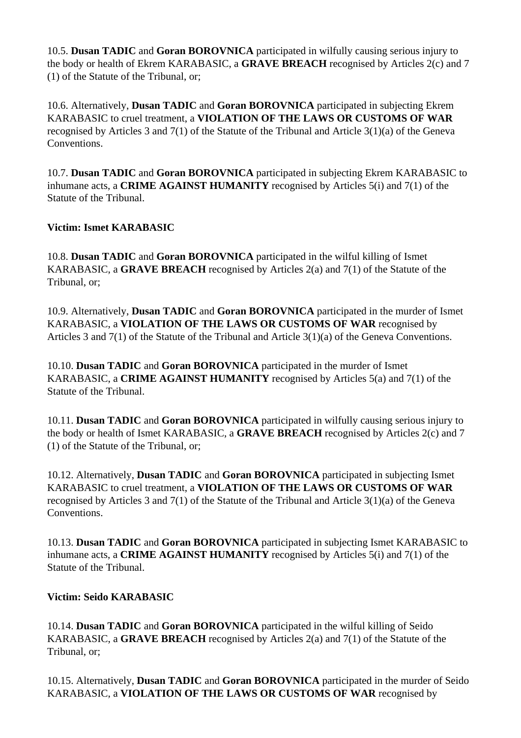10.5. **Dusan TADIC** and **Goran BOROVNICA** participated in wilfully causing serious injury to the body or health of Ekrem KARABASIC, a **GRAVE BREACH** recognised by Articles 2(c) and 7 (1) of the Statute of the Tribunal, or;

10.6. Alternatively, **Dusan TADIC** and **Goran BOROVNICA** participated in subjecting Ekrem KARABASIC to cruel treatment, a **VIOLATION OF THE LAWS OR CUSTOMS OF WAR** recognised by Articles 3 and 7(1) of the Statute of the Tribunal and Article 3(1)(a) of the Geneva Conventions.

10.7. **Dusan TADIC** and **Goran BOROVNICA** participated in subjecting Ekrem KARABASIC to inhumane acts, a **CRIME AGAINST HUMANITY** recognised by Articles 5(i) and 7(1) of the Statute of the Tribunal.

# **Victim: Ismet KARABASIC**

10.8. **Dusan TADIC** and **Goran BOROVNICA** participated in the wilful killing of Ismet KARABASIC, a **GRAVE BREACH** recognised by Articles 2(a) and 7(1) of the Statute of the Tribunal, or;

10.9. Alternatively, **Dusan TADIC** and **Goran BOROVNICA** participated in the murder of Ismet KARABASIC, a **VIOLATION OF THE LAWS OR CUSTOMS OF WAR** recognised by Articles 3 and 7(1) of the Statute of the Tribunal and Article 3(1)(a) of the Geneva Conventions.

10.10. **Dusan TADIC** and **Goran BOROVNICA** participated in the murder of Ismet KARABASIC, a **CRIME AGAINST HUMANITY** recognised by Articles 5(a) and 7(1) of the Statute of the Tribunal.

10.11. **Dusan TADIC** and **Goran BOROVNICA** participated in wilfully causing serious injury to the body or health of Ismet KARABASIC, a **GRAVE BREACH** recognised by Articles 2(c) and 7 (1) of the Statute of the Tribunal, or;

10.12. Alternatively, **Dusan TADIC** and **Goran BOROVNICA** participated in subjecting Ismet KARABASIC to cruel treatment, a **VIOLATION OF THE LAWS OR CUSTOMS OF WAR** recognised by Articles 3 and 7(1) of the Statute of the Tribunal and Article 3(1)(a) of the Geneva Conventions.

10.13. **Dusan TADIC** and **Goran BOROVNICA** participated in subjecting Ismet KARABASIC to inhumane acts, a **CRIME AGAINST HUMANITY** recognised by Articles 5(i) and 7(1) of the Statute of the Tribunal.

# **Victim: Seido KARABASIC**

10.14. **Dusan TADIC** and **Goran BOROVNICA** participated in the wilful killing of Seido KARABASIC, a **GRAVE BREACH** recognised by Articles 2(a) and 7(1) of the Statute of the Tribunal, or;

10.15. Alternatively, **Dusan TADIC** and **Goran BOROVNICA** participated in the murder of Seido KARABASIC, a **VIOLATION OF THE LAWS OR CUSTOMS OF WAR** recognised by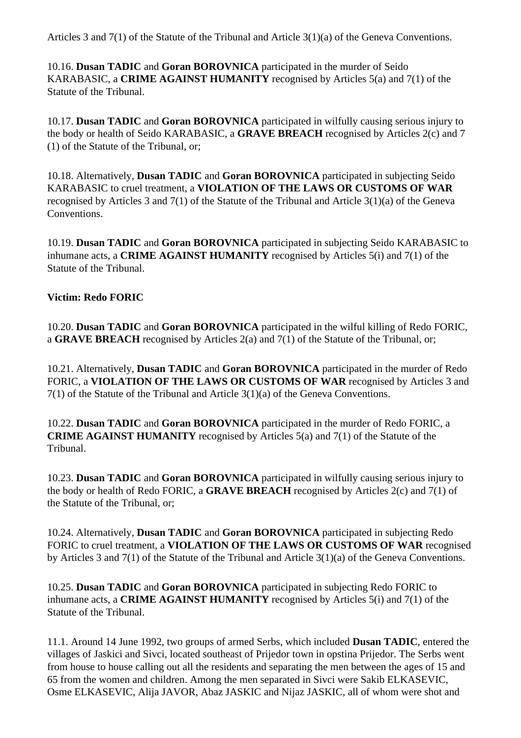Articles 3 and 7(1) of the Statute of the Tribunal and Article 3(1)(a) of the Geneva Conventions.

10.16. **Dusan TADIC** and **Goran BOROVNICA** participated in the murder of Seido KARABASIC, a **CRIME AGAINST HUMANITY** recognised by Articles 5(a) and 7(1) of the Statute of the Tribunal.

10.17. **Dusan TADIC** and **Goran BOROVNICA** participated in wilfully causing serious injury to the body or health of Seido KARABASIC, a **GRAVE BREACH** recognised by Articles 2(c) and 7 (1) of the Statute of the Tribunal, or;

10.18. Alternatively, **Dusan TADIC** and **Goran BOROVNICA** participated in subjecting Seido KARABASIC to cruel treatment, a **VIOLATION OF THE LAWS OR CUSTOMS OF WAR** recognised by Articles 3 and 7(1) of the Statute of the Tribunal and Article 3(1)(a) of the Geneva Conventions.

10.19. **Dusan TADIC** and **Goran BOROVNICA** participated in subjecting Seido KARABASIC to inhumane acts, a **CRIME AGAINST HUMANITY** recognised by Articles 5(i) and 7(1) of the Statute of the Tribunal.

## **Victim: Redo FORIC**

10.20. **Dusan TADIC** and **Goran BOROVNICA** participated in the wilful killing of Redo FORIC, a **GRAVE BREACH** recognised by Articles 2(a) and 7(1) of the Statute of the Tribunal, or;

10.21. Alternatively, **Dusan TADIC** and **Goran BOROVNICA** participated in the murder of Redo FORIC, a **VIOLATION OF THE LAWS OR CUSTOMS OF WAR** recognised by Articles 3 and 7(1) of the Statute of the Tribunal and Article 3(1)(a) of the Geneva Conventions.

10.22. **Dusan TADIC** and **Goran BOROVNICA** participated in the murder of Redo FORIC, a **CRIME AGAINST HUMANITY** recognised by Articles 5(a) and 7(1) of the Statute of the Tribunal.

10.23. **Dusan TADIC** and **Goran BOROVNICA** participated in wilfully causing serious injury to the body or health of Redo FORIC, a **GRAVE BREACH** recognised by Articles 2(c) and 7(1) of the Statute of the Tribunal, or;

10.24. Alternatively, **Dusan TADIC** and **Goran BOROVNICA** participated in subjecting Redo FORIC to cruel treatment, a **VIOLATION OF THE LAWS OR CUSTOMS OF WAR** recognised by Articles 3 and 7(1) of the Statute of the Tribunal and Article 3(1)(a) of the Geneva Conventions.

10.25. **Dusan TADIC** and **Goran BOROVNICA** participated in subjecting Redo FORIC to inhumane acts, a **CRIME AGAINST HUMANITY** recognised by Articles 5(i) and 7(1) of the Statute of the Tribunal.

11.1. Around 14 June 1992, two groups of armed Serbs, which included **Dusan TADIC**, entered the villages of Jaskici and Sivci, located southeast of Prijedor town in opstina Prijedor. The Serbs went from house to house calling out all the residents and separating the men between the ages of 15 and 65 from the women and children. Among the men separated in Sivci were Sakib ELKASEVIC, Osme ELKASEVIC, Alija JAVOR, Abaz JASKIC and Nijaz JASKIC, all of whom were shot and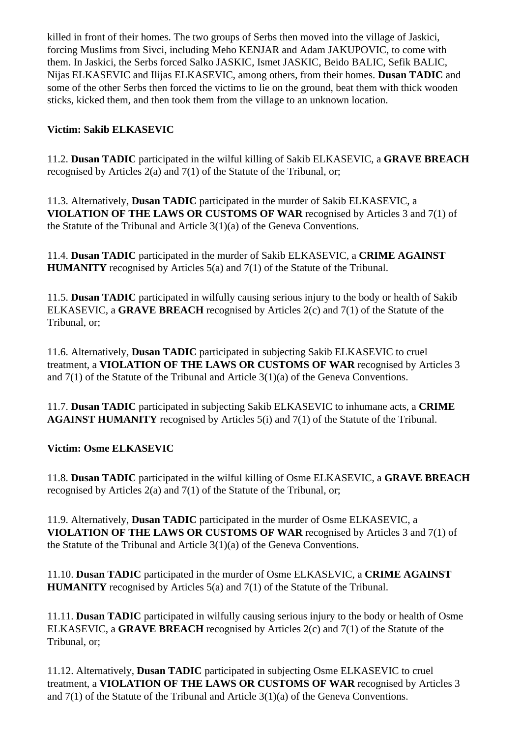killed in front of their homes. The two groups of Serbs then moved into the village of Jaskici, forcing Muslims from Sivci, including Meho KENJAR and Adam JAKUPOVIC, to come with them. In Jaskici, the Serbs forced Salko JASKIC, Ismet JASKIC, Beido BALIC, Sefik BALIC, Nijas ELKASEVIC and Ilijas ELKASEVIC, among others, from their homes. **Dusan TADIC** and some of the other Serbs then forced the victims to lie on the ground, beat them with thick wooden sticks, kicked them, and then took them from the village to an unknown location.

# **Victim: Sakib ELKASEVIC**

11.2. **Dusan TADIC** participated in the wilful killing of Sakib ELKASEVIC, a **GRAVE BREACH**  recognised by Articles 2(a) and 7(1) of the Statute of the Tribunal, or;

11.3. Alternatively, **Dusan TADIC** participated in the murder of Sakib ELKASEVIC, a **VIOLATION OF THE LAWS OR CUSTOMS OF WAR** recognised by Articles 3 and 7(1) of the Statute of the Tribunal and Article 3(1)(a) of the Geneva Conventions.

11.4. **Dusan TADIC** participated in the murder of Sakib ELKASEVIC, a **CRIME AGAINST HUMANITY** recognised by Articles 5(a) and 7(1) of the Statute of the Tribunal.

11.5. **Dusan TADIC** participated in wilfully causing serious injury to the body or health of Sakib ELKASEVIC, a **GRAVE BREACH** recognised by Articles 2(c) and 7(1) of the Statute of the Tribunal, or;

11.6. Alternatively, **Dusan TADIC** participated in subjecting Sakib ELKASEVIC to cruel treatment, a **VIOLATION OF THE LAWS OR CUSTOMS OF WAR** recognised by Articles 3 and 7(1) of the Statute of the Tribunal and Article 3(1)(a) of the Geneva Conventions.

11.7. **Dusan TADIC** participated in subjecting Sakib ELKASEVIC to inhumane acts, a **CRIME AGAINST HUMANITY** recognised by Articles 5(i) and 7(1) of the Statute of the Tribunal.

## **Victim: Osme ELKASEVIC**

11.8. **Dusan TADIC** participated in the wilful killing of Osme ELKASEVIC, a **GRAVE BREACH**  recognised by Articles 2(a) and 7(1) of the Statute of the Tribunal, or;

11.9. Alternatively, **Dusan TADIC** participated in the murder of Osme ELKASEVIC, a **VIOLATION OF THE LAWS OR CUSTOMS OF WAR** recognised by Articles 3 and 7(1) of the Statute of the Tribunal and Article 3(1)(a) of the Geneva Conventions.

11.10. **Dusan TADIC** participated in the murder of Osme ELKASEVIC, a **CRIME AGAINST HUMANITY** recognised by Articles 5(a) and 7(1) of the Statute of the Tribunal.

11.11. **Dusan TADIC** participated in wilfully causing serious injury to the body or health of Osme ELKASEVIC, a **GRAVE BREACH** recognised by Articles 2(c) and 7(1) of the Statute of the Tribunal, or;

11.12. Alternatively, **Dusan TADIC** participated in subjecting Osme ELKASEVIC to cruel treatment, a **VIOLATION OF THE LAWS OR CUSTOMS OF WAR** recognised by Articles 3 and 7(1) of the Statute of the Tribunal and Article 3(1)(a) of the Geneva Conventions.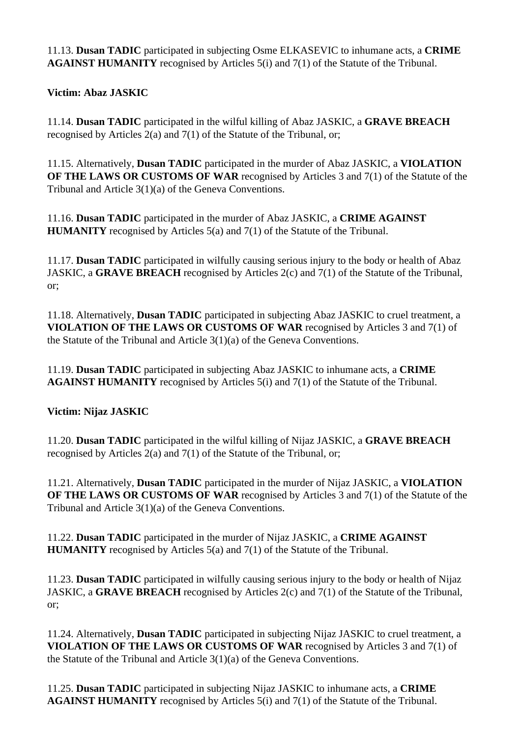11.13. **Dusan TADIC** participated in subjecting Osme ELKASEVIC to inhumane acts, a **CRIME AGAINST HUMANITY** recognised by Articles 5(i) and 7(1) of the Statute of the Tribunal.

**Victim: Abaz JASKIC** 

11.14. **Dusan TADIC** participated in the wilful killing of Abaz JASKIC, a **GRAVE BREACH**  recognised by Articles 2(a) and 7(1) of the Statute of the Tribunal, or;

11.15. Alternatively, **Dusan TADIC** participated in the murder of Abaz JASKIC, a **VIOLATION OF THE LAWS OR CUSTOMS OF WAR** recognised by Articles 3 and 7(1) of the Statute of the Tribunal and Article 3(1)(a) of the Geneva Conventions.

11.16. **Dusan TADIC** participated in the murder of Abaz JASKIC, a **CRIME AGAINST HUMANITY** recognised by Articles 5(a) and 7(1) of the Statute of the Tribunal.

11.17. **Dusan TADIC** participated in wilfully causing serious injury to the body or health of Abaz JASKIC, a **GRAVE BREACH** recognised by Articles 2(c) and 7(1) of the Statute of the Tribunal, or;

11.18. Alternatively, **Dusan TADIC** participated in subjecting Abaz JASKIC to cruel treatment, a **VIOLATION OF THE LAWS OR CUSTOMS OF WAR** recognised by Articles 3 and 7(1) of the Statute of the Tribunal and Article 3(1)(a) of the Geneva Conventions.

11.19. **Dusan TADIC** participated in subjecting Abaz JASKIC to inhumane acts, a **CRIME AGAINST HUMANITY** recognised by Articles 5(i) and 7(1) of the Statute of the Tribunal.

**Victim: Nijaz JASKIC** 

11.20. **Dusan TADIC** participated in the wilful killing of Nijaz JASKIC, a **GRAVE BREACH**  recognised by Articles 2(a) and 7(1) of the Statute of the Tribunal, or;

11.21. Alternatively, **Dusan TADIC** participated in the murder of Nijaz JASKIC, a **VIOLATION OF THE LAWS OR CUSTOMS OF WAR** recognised by Articles 3 and 7(1) of the Statute of the Tribunal and Article 3(1)(a) of the Geneva Conventions.

11.22. **Dusan TADIC** participated in the murder of Nijaz JASKIC, a **CRIME AGAINST HUMANITY** recognised by Articles 5(a) and 7(1) of the Statute of the Tribunal.

11.23. **Dusan TADIC** participated in wilfully causing serious injury to the body or health of Nijaz JASKIC, a **GRAVE BREACH** recognised by Articles 2(c) and 7(1) of the Statute of the Tribunal, or;

11.24. Alternatively, **Dusan TADIC** participated in subjecting Nijaz JASKIC to cruel treatment, a **VIOLATION OF THE LAWS OR CUSTOMS OF WAR** recognised by Articles 3 and 7(1) of the Statute of the Tribunal and Article 3(1)(a) of the Geneva Conventions.

11.25. **Dusan TADIC** participated in subjecting Nijaz JASKIC to inhumane acts, a **CRIME AGAINST HUMANITY** recognised by Articles 5(i) and 7(1) of the Statute of the Tribunal.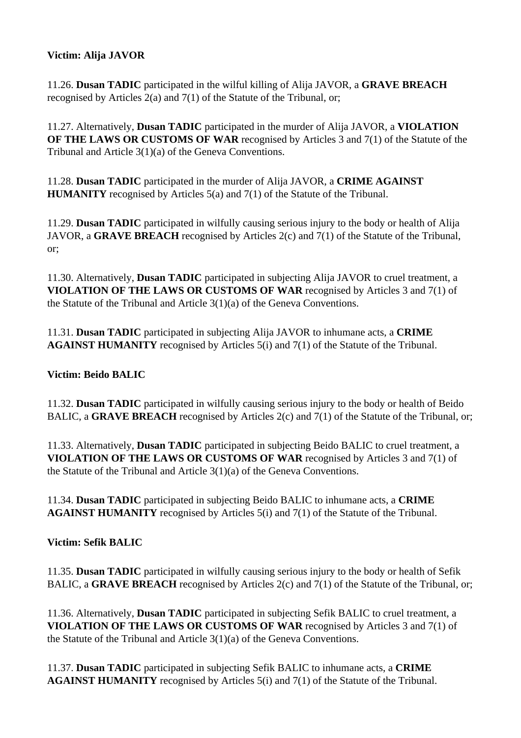## **Victim: Alija JAVOR**

11.26. **Dusan TADIC** participated in the wilful killing of Alija JAVOR, a **GRAVE BREACH**  recognised by Articles 2(a) and 7(1) of the Statute of the Tribunal, or;

11.27. Alternatively, **Dusan TADIC** participated in the murder of Alija JAVOR, a **VIOLATION OF THE LAWS OR CUSTOMS OF WAR** recognised by Articles 3 and 7(1) of the Statute of the Tribunal and Article 3(1)(a) of the Geneva Conventions.

11.28. **Dusan TADIC** participated in the murder of Alija JAVOR, a **CRIME AGAINST HUMANITY** recognised by Articles 5(a) and 7(1) of the Statute of the Tribunal.

11.29. **Dusan TADIC** participated in wilfully causing serious injury to the body or health of Alija JAVOR, a **GRAVE BREACH** recognised by Articles 2(c) and 7(1) of the Statute of the Tribunal, or;

11.30. Alternatively, **Dusan TADIC** participated in subjecting Alija JAVOR to cruel treatment, a **VIOLATION OF THE LAWS OR CUSTOMS OF WAR** recognised by Articles 3 and 7(1) of the Statute of the Tribunal and Article 3(1)(a) of the Geneva Conventions.

11.31. **Dusan TADIC** participated in subjecting Alija JAVOR to inhumane acts, a **CRIME AGAINST HUMANITY** recognised by Articles 5(i) and 7(1) of the Statute of the Tribunal.

## **Victim: Beido BALIC**

11.32. **Dusan TADIC** participated in wilfully causing serious injury to the body or health of Beido BALIC, a **GRAVE BREACH** recognised by Articles 2(c) and 7(1) of the Statute of the Tribunal, or;

11.33. Alternatively, **Dusan TADIC** participated in subjecting Beido BALIC to cruel treatment, a **VIOLATION OF THE LAWS OR CUSTOMS OF WAR** recognised by Articles 3 and 7(1) of the Statute of the Tribunal and Article 3(1)(a) of the Geneva Conventions.

11.34. **Dusan TADIC** participated in subjecting Beido BALIC to inhumane acts, a **CRIME AGAINST HUMANITY** recognised by Articles 5(i) and 7(1) of the Statute of the Tribunal.

## **Victim: Sefik BALIC**

11.35. **Dusan TADIC** participated in wilfully causing serious injury to the body or health of Sefik BALIC, a **GRAVE BREACH** recognised by Articles 2(c) and 7(1) of the Statute of the Tribunal, or;

11.36. Alternatively, **Dusan TADIC** participated in subjecting Sefik BALIC to cruel treatment, a **VIOLATION OF THE LAWS OR CUSTOMS OF WAR** recognised by Articles 3 and 7(1) of the Statute of the Tribunal and Article 3(1)(a) of the Geneva Conventions.

11.37. **Dusan TADIC** participated in subjecting Sefik BALIC to inhumane acts, a **CRIME AGAINST HUMANITY** recognised by Articles 5(i) and 7(1) of the Statute of the Tribunal.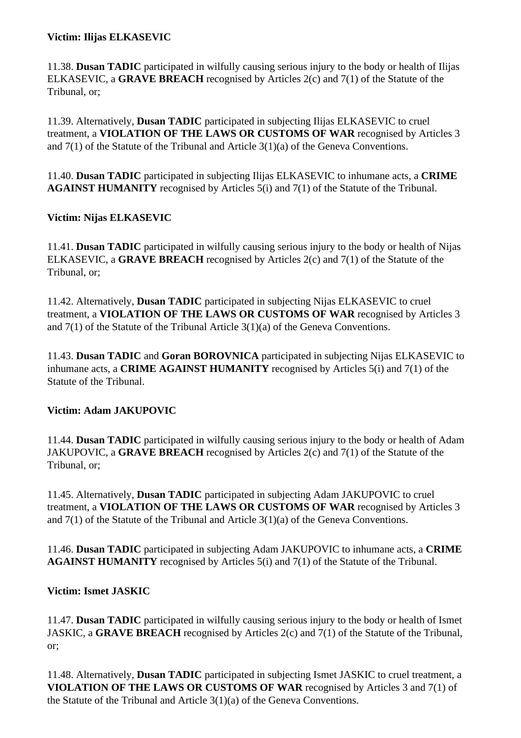## **Victim: Ilijas ELKASEVIC**

11.38. **Dusan TADIC** participated in wilfully causing serious injury to the body or health of Ilijas ELKASEVIC, a **GRAVE BREACH** recognised by Articles 2(c) and 7(1) of the Statute of the Tribunal, or;

11.39. Alternatively, **Dusan TADIC** participated in subjecting Ilijas ELKASEVIC to cruel treatment, a **VIOLATION OF THE LAWS OR CUSTOMS OF WAR** recognised by Articles 3 and 7(1) of the Statute of the Tribunal and Article 3(1)(a) of the Geneva Conventions.

11.40. **Dusan TADIC** participated in subjecting Ilijas ELKASEVIC to inhumane acts, a **CRIME AGAINST HUMANITY** recognised by Articles 5(i) and 7(1) of the Statute of the Tribunal.

## **Victim: Nijas ELKASEVIC**

11.41. **Dusan TADIC** participated in wilfully causing serious injury to the body or health of Nijas ELKASEVIC, a **GRAVE BREACH** recognised by Articles 2(c) and 7(1) of the Statute of the Tribunal, or;

11.42. Alternatively, **Dusan TADIC** participated in subjecting Nijas ELKASEVIC to cruel treatment, a **VIOLATION OF THE LAWS OR CUSTOMS OF WAR** recognised by Articles 3 and 7(1) of the Statute of the Tribunal Article 3(1)(a) of the Geneva Conventions.

11.43. **Dusan TADIC** and **Goran BOROVNICA** participated in subjecting Nijas ELKASEVIC to inhumane acts, a **CRIME AGAINST HUMANITY** recognised by Articles 5(i) and 7(1) of the Statute of the Tribunal.

## **Victim: Adam JAKUPOVIC**

11.44. **Dusan TADIC** participated in wilfully causing serious injury to the body or health of Adam JAKUPOVIC, a **GRAVE BREACH** recognised by Articles 2(c) and 7(1) of the Statute of the Tribunal, or;

11.45. Alternatively, **Dusan TADIC** participated in subjecting Adam JAKUPOVIC to cruel treatment, a **VIOLATION OF THE LAWS OR CUSTOMS OF WAR** recognised by Articles 3 and 7(1) of the Statute of the Tribunal and Article 3(1)(a) of the Geneva Conventions.

11.46. **Dusan TADIC** participated in subjecting Adam JAKUPOVIC to inhumane acts, a **CRIME AGAINST HUMANITY** recognised by Articles 5(i) and 7(1) of the Statute of the Tribunal.

## **Victim: Ismet JASKIC**

11.47. **Dusan TADIC** participated in wilfully causing serious injury to the body or health of Ismet JASKIC, a **GRAVE BREACH** recognised by Articles 2(c) and 7(1) of the Statute of the Tribunal, or;

11.48. Alternatively, **Dusan TADIC** participated in subjecting Ismet JASKIC to cruel treatment, a **VIOLATION OF THE LAWS OR CUSTOMS OF WAR** recognised by Articles 3 and 7(1) of the Statute of the Tribunal and Article 3(1)(a) of the Geneva Conventions.